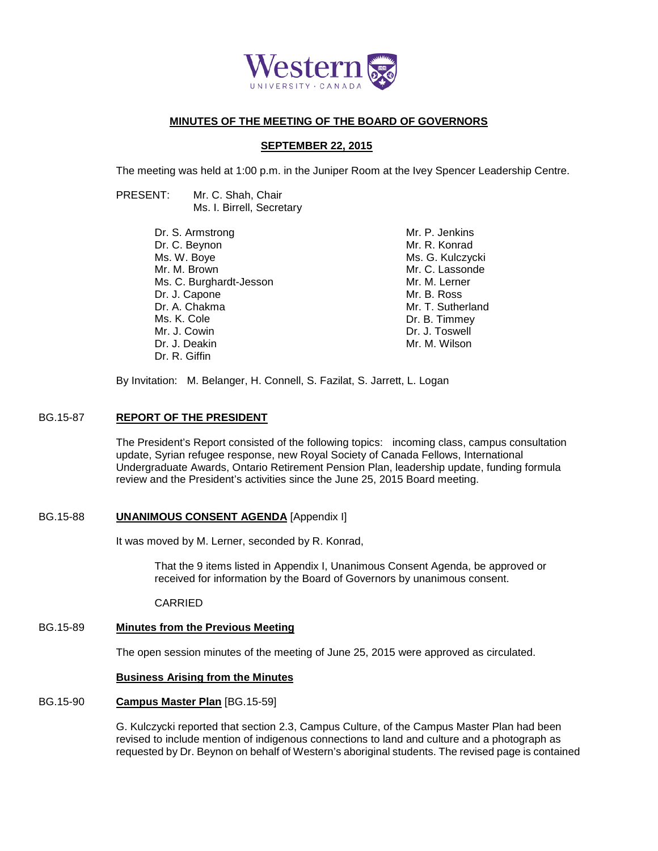

# **MINUTES OF THE MEETING OF THE BOARD OF GOVERNORS**

# **SEPTEMBER 22, 2015**

The meeting was held at 1:00 p.m. in the Juniper Room at the Ivey Spencer Leadership Centre.

- PRESENT: Mr. C. Shah, Chair Ms. I. Birrell, Secretary
	- Dr. S. Armstrong Dr. C. Beynon Ms. W. Boye Mr. M. Brown Ms. C. Burghardt-Jesson Dr. J. Capone Dr. A. Chakma Ms. K. Cole Mr. J. Cowin Dr. J. Deakin Dr. R. Giffin

Mr. P. Jenkins Mr. R. Konrad Ms. G. Kulczycki Mr. C. Lassonde Mr. M. Lerner Mr. B. Ross Mr. T. Sutherland Dr. B. Timmey Dr. J. Toswell Mr. M. Wilson

By Invitation: M. Belanger, H. Connell, S. Fazilat, S. Jarrett, L. Logan

#### BG.15-87 **REPORT OF THE PRESIDENT**

The President's Report consisted of the following topics: incoming class, campus consultation update, Syrian refugee response, new Royal Society of Canada Fellows, International Undergraduate Awards, Ontario Retirement Pension Plan, leadership update, funding formula review and the President's activities since the June 25, 2015 Board meeting.

# BG.15-88 **UNANIMOUS CONSENT AGENDA** [Appendix I]

It was moved by M. Lerner, seconded by R. Konrad,

That the 9 items listed in Appendix I, Unanimous Consent Agenda, be approved or received for information by the Board of Governors by unanimous consent.

CARRIED

# BG.15-89 **Minutes from the Previous Meeting**

The open session minutes of the meeting of June 25, 2015 were approved as circulated.

#### **Business Arising from the Minutes**

# BG.15-90 **Campus Master Plan** [BG.15-59]

G. Kulczycki reported that section 2.3, Campus Culture, of the Campus Master Plan had been revised to include mention of indigenous connections to land and culture and a photograph as requested by Dr. Beynon on behalf of Western's aboriginal students. The revised page is contained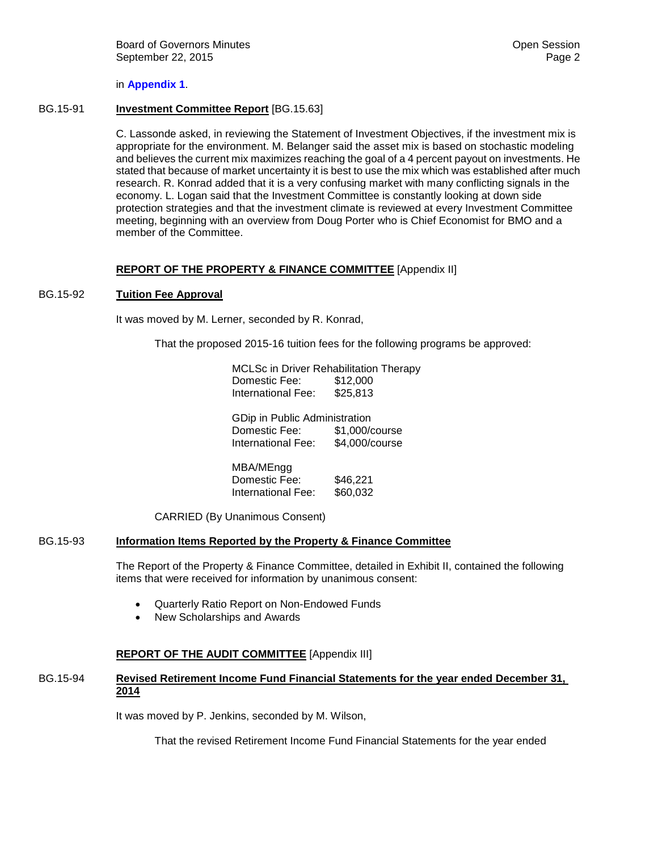#### in **[Appendix 1](#page-4-0)**.

#### BG.15-91 **Investment Committee Report** [BG.15.63]

C. Lassonde asked, in reviewing the Statement of Investment Objectives, if the investment mix is appropriate for the environment. M. Belanger said the asset mix is based on stochastic modeling and believes the current mix maximizes reaching the goal of a 4 percent payout on investments. He stated that because of market uncertainty it is best to use the mix which was established after much research. R. Konrad added that it is a very confusing market with many conflicting signals in the economy. L. Logan said that the Investment Committee is constantly looking at down side protection strategies and that the investment climate is reviewed at every Investment Committee meeting, beginning with an overview from Doug Porter who is Chief Economist for BMO and a member of the Committee.

# **REPORT OF THE PROPERTY & FINANCE COMMITTEE** [Appendix II]

#### BG.15-92 **Tuition Fee Approval**

It was moved by M. Lerner, seconded by R. Konrad,

That the proposed 2015-16 tuition fees for the following programs be approved:

| MCLSc in Driver Rehabilitation Therapy |                |
|----------------------------------------|----------------|
| Domestic Fee:                          | \$12,000       |
| International Fee:                     | \$25,813       |
| GDip in Public Administration          |                |
| Domestic Fee:                          | \$1,000/course |
| International Fee:                     | \$4,000/course |
| MBA/MEngg                              |                |
| Domestic Fee:                          | \$46,221       |
| International Fee:                     | \$60,032       |
|                                        |                |

CARRIED (By Unanimous Consent)

#### BG.15-93 **Information Items Reported by the Property & Finance Committee**

The Report of the Property & Finance Committee, detailed in Exhibit II, contained the following items that were received for information by unanimous consent:

- Quarterly Ratio Report on Non-Endowed Funds
- New Scholarships and Awards

# **REPORT OF THE AUDIT COMMITTEE** [Appendix III]

#### BG.15-94 **Revised Retirement Income Fund Financial Statements for the year ended December 31, 2014**

It was moved by P. Jenkins, seconded by M. Wilson,

That the revised Retirement Income Fund Financial Statements for the year ended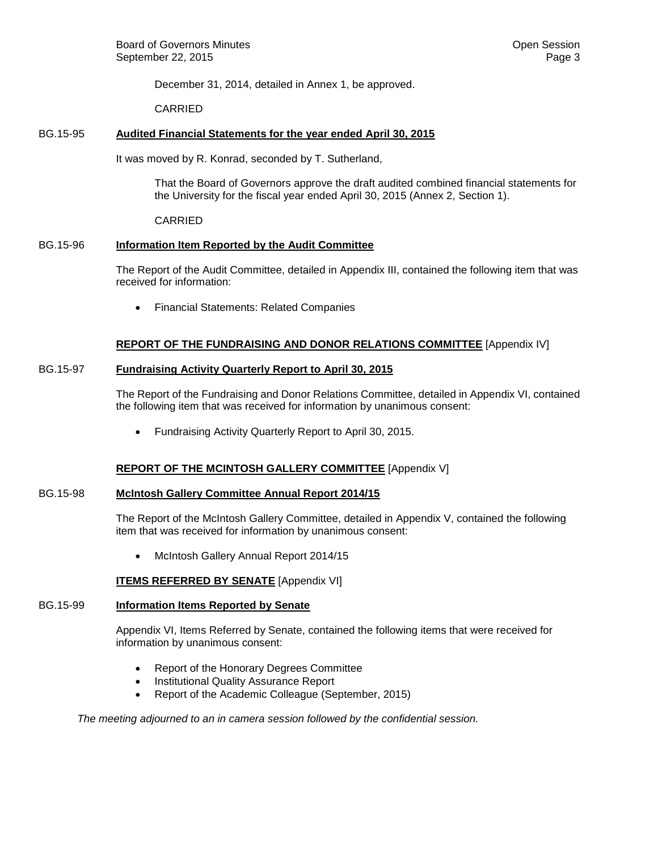December 31, 2014, detailed in Annex 1, be approved.

CARRIED

# BG.15-95 **Audited Financial Statements for the year ended April 30, 2015**

It was moved by R. Konrad, seconded by T. Sutherland,

That the Board of Governors approve the draft audited combined financial statements for the University for the fiscal year ended April 30, 2015 (Annex 2, Section 1).

CARRIED

# BG.15-96 **Information Item Reported by the Audit Committee**

The Report of the Audit Committee, detailed in Appendix III, contained the following item that was received for information:

• Financial Statements: Related Companies

# **REPORT OF THE FUNDRAISING AND DONOR RELATIONS COMMITTEE** [Appendix IV]

# BG.15-97 **Fundraising Activity Quarterly Report to April 30, 2015**

The Report of the Fundraising and Donor Relations Committee, detailed in Appendix VI, contained the following item that was received for information by unanimous consent:

• Fundraising Activity Quarterly Report to April 30, 2015.

# **REPORT OF THE MCINTOSH GALLERY COMMITTEE** [Appendix V]

# BG.15-98 **McIntosh Gallery Committee Annual Report 2014/15**

The Report of the McIntosh Gallery Committee, detailed in Appendix V, contained the following item that was received for information by unanimous consent:

• McIntosh Gallery Annual Report 2014/15

# **ITEMS REFERRED BY SENATE** [Appendix VI]

# BG.15-99 **Information Items Reported by Senate**

Appendix VI, Items Referred by Senate, contained the following items that were received for information by unanimous consent:

- Report of the Honorary Degrees Committee
- Institutional Quality Assurance Report
- Report of the Academic Colleague (September, 2015)

*The meeting adjourned to an in camera session followed by the confidential session.*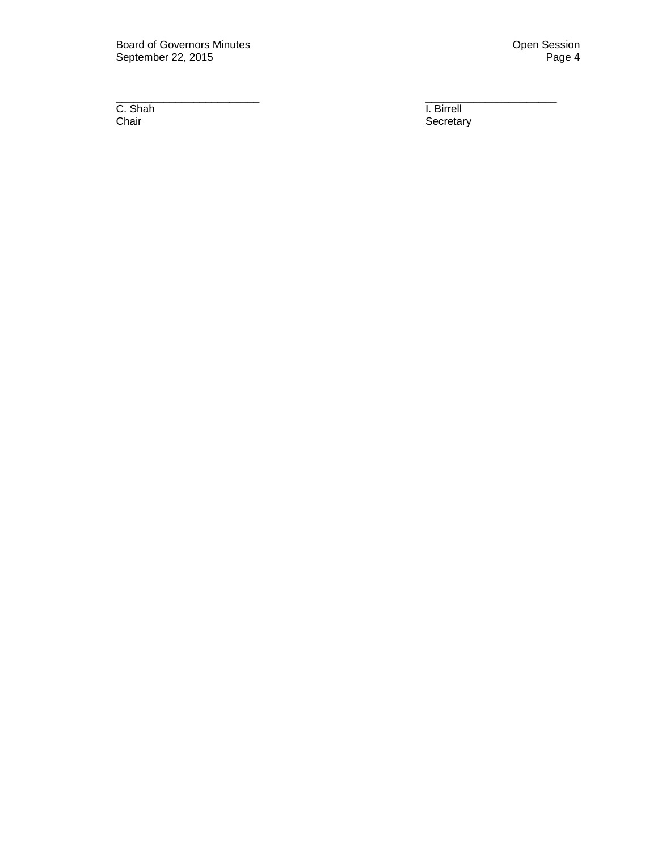Board of Governors Minutes **Contract Contract Contract Contract Contract Contract Contract Contract Contract Contract Contract Contract Contract Contract Contract Contract Contract Contract Contract Contract Contract Contr** September 22, 2015

C. Shah<br>Chair

\_\_\_\_\_\_\_\_\_\_\_\_\_\_\_\_\_\_\_\_\_\_\_\_ \_\_\_\_\_\_\_\_\_\_\_\_\_\_\_\_\_\_\_\_\_\_ I. Birrell<br>Secretary